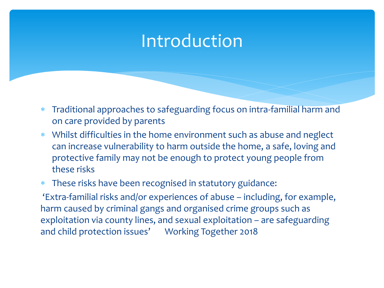# Introduction

- Traditional approaches to safeguarding focus on intra-familial harm and on care provided by parents
- Whilst difficulties in the home environment such as abuse and neglect can increase vulnerability to harm outside the home, a safe, loving and protective family may not be enough to protect young people from these risks

#### These risks have been recognised in statutory guidance:

'Extra-familial risks and/or experiences of abuse – including, for example, harm caused by criminal gangs and organised crime groups such as exploitation via county lines, and sexual exploitation – are safeguarding and child protection issues' Working Together 2018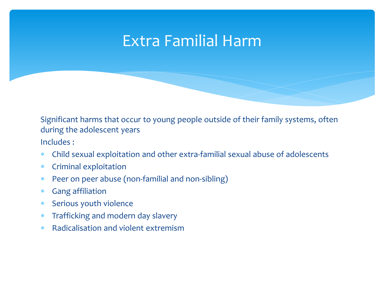## Extra Familial Harm

Significant harms that occur to young people outside of their family systems, often during the adolescent years

Includes :

- Child sexual exploitation and other extra-familial sexual abuse of adolescents
- Criminal exploitation
- Peer on peer abuse (non-familial and non-sibling)
- Gang affiliation
- Serious youth violence
- Trafficking and modern day slavery
- Radicalisation and violent extremism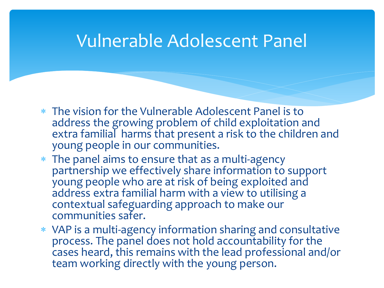## Vulnerable Adolescent Panel

- The vision for the Vulnerable Adolescent Panel is to address the growing problem of child exploitation and extra familial harms that present a risk to the children and young people in our communities.
- The panel aims to ensure that as a multi-agency partnership we effectively share information to support young people who are at risk of being exploited and address extra familial harm with a view to utilising a contextual safeguarding approach to make our communities safer.
- VAP is a multi-agency information sharing and consultative process. The panel does not hold accountability for the cases heard, this remains with the lead professional and/or team working directly with the young person.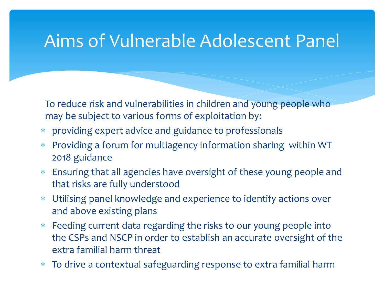## Aims of Vulnerable Adolescent Panel

To reduce risk and vulnerabilities in children and young people who may be subject to various forms of exploitation by:

- providing expert advice and guidance to professionals
- Providing a forum for multiagency information sharing within WT 2018 guidance
- Ensuring that all agencies have oversight of these young people and that risks are fully understood
- Utilising panel knowledge and experience to identify actions over and above existing plans
- Feeding current data regarding the risks to our young people into the CSPs and NSCP in order to establish an accurate oversight of the extra familial harm threat
- To drive a contextual safeguarding response to extra familial harm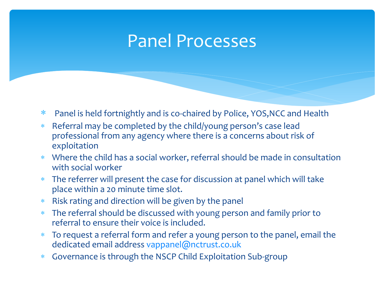## Panel Processes

- Panel is held fortnightly and is co-chaired by Police, YOS,NCC and Health
- Referral may be completed by the child/young person's case lead professional from any agency where there is a concerns about risk of exploitation
- Where the child has a social worker, referral should be made in consultation with social worker
- The referrer will present the case for discussion at panel which will take place within a 20 minute time slot.
- Risk rating and direction will be given by the panel
- The referral should be discussed with young person and family prior to referral to ensure their voice is included.
- To request a referral form and refer a young person to the panel, email the dedicated email address [vappanel@nctrust.co.uk](mailto:vappanel@nctrust.co.uk)
- Governance is through the NSCP Child Exploitation Sub-group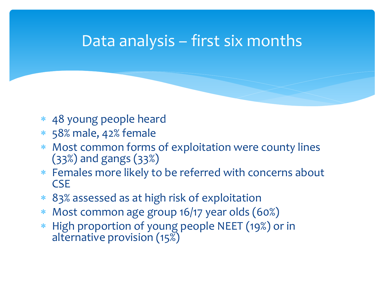## Data analysis – first six months

- 48 young people heard
- 58% male, 42% female
- Most common forms of exploitation were county lines (33%) and gangs (33%)
- Females more likely to be referred with concerns about **CSE**
- 83% assessed as at high risk of exploitation
- Most common age group 16/17 year olds (60%)
- \* High proportion of young people NEET (19%) or in alternative provision (15%)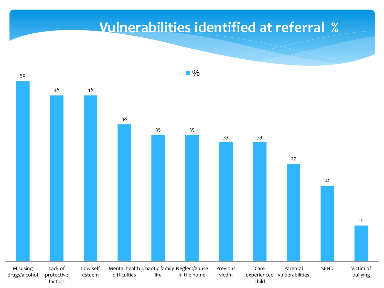## **Vulnerabilities identified at referral %**

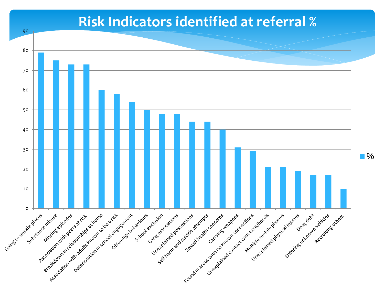### **Risk Indicators identified at referral %**

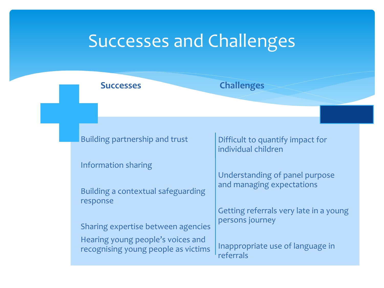## Successes and Challenges

**Successes Challenges**

Building partnership and trust

Information sharing

Building a contextual safeguarding response

Sharing expertise between agencies

Hearing young people's voices and recognising young people as victims

Difficult to quantify impact for individual children

Understanding of panel purpose and managing expectations

Getting referrals very late in a young persons journey

Inappropriate use of language in referrals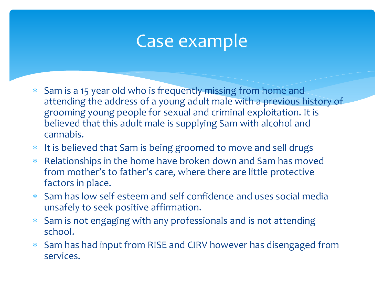# Case example

- Sam is a 15 year old who is frequently missing from home and attending the address of a young adult male with a previous history of grooming young people for sexual and criminal exploitation. It is believed that this adult male is supplying Sam with alcohol and cannabis.
- It is believed that Sam is being groomed to move and sell drugs
- Relationships in the home have broken down and Sam has moved from mother's to father's care, where there are little protective factors in place.
- Sam has low self esteem and self confidence and uses social media unsafely to seek positive affirmation.
- Sam is not engaging with any professionals and is not attending school.
- Sam has had input from RISE and CIRV however has disengaged from services.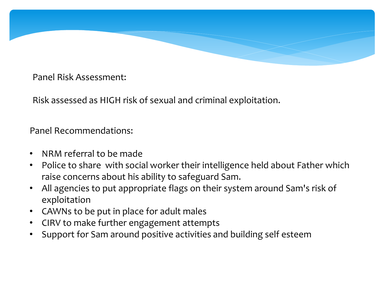

Panel Risk Assessment:

Risk assessed as HIGH risk of sexual and criminal exploitation.

Panel Recommendations:

- NRM referral to be made
- Police to share with social worker their intelligence held about Father which raise concerns about his ability to safeguard Sam.
- All agencies to put appropriate flags on their system around Sam's risk of exploitation
- CAWNs to be put in place for adult males
- CIRV to make further engagement attempts
- Support for Sam around positive activities and building self esteem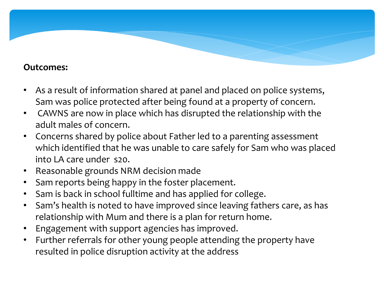#### **Outcomes:**

- As a result of information shared at panel and placed on police systems, Sam was police protected after being found at a property of concern.
- CAWNS are now in place which has disrupted the relationship with the adult males of concern.
- Concerns shared by police about Father led to a parenting assessment which identified that he was unable to care safely for Sam who was placed  $intol A$  care under s20.
- Reasonable grounds NRM decision made
- Sam reports being happy in the foster placement.
- Sam is back in school fulltime and has applied for college.
- Sam's health is noted to have improved since leaving fathers care, as has relationship with Mum and there is a plan for return home.
- Engagement with support agencies has improved.
- Further referrals for other young people attending the property have resulted in police disruption activity at the address